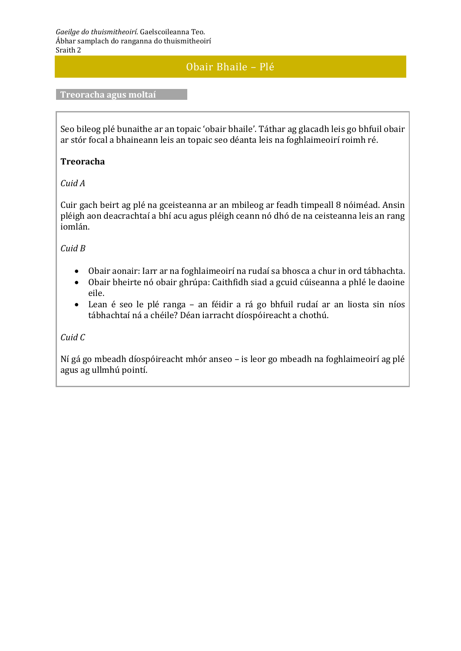# Obair Bhaile – Plé

#### **Treoracha agus moltaí**

Seo bileog plé bunaithe ar an topaic 'obair bhaile'. Táthar ag glacadh leis go bhfuil obair ar stór focal a bhaineann leis an topaic seo déanta leis na foghlaimeoirí roimh ré.

#### **Treoracha**

#### *Cuid A*

Cuir gach beirt ag plé na gceisteanna ar an mbileog ar feadh timpeall 8 nóiméad. Ansin pléigh aon deacrachtaí a bhí acu agus pléigh ceann nó dhó de na ceisteanna leis an rang iomlán.

#### *Cuid B*

- Obair aonair: Iarr ar na foghlaimeoirí na rudaí sa bhosca a chur in ord tábhachta.
- Obair bheirte nó obair ghrúpa: Caithfidh siad a gcuid cúiseanna a phlé le daoine eile.
- Lean é seo le plé ranga an féidir a rá go bhfuil rudaí ar an liosta sin níos tábhachtaí ná a chéile? Déan iarracht díospóireacht a chothú.

# *Cuid C*

Ní gá go mbeadh díospóireacht mhór anseo – is leor go mbeadh na foghlaimeoirí ag plé agus ag ullmhú pointí.